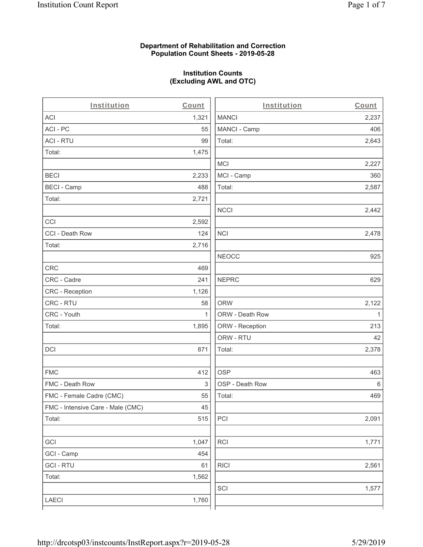#### **Department of Rehabilitation and Correction Population Count Sheets - 2019-05-28**

### **Institution Counts (Excluding AWL and OTC)**

. .

| Institution                       | Count        | Institution     | Count        |
|-----------------------------------|--------------|-----------------|--------------|
| ACI                               | 1,321        | <b>MANCI</b>    | 2,237        |
| ACI - PC                          | 55           | MANCI - Camp    | 406          |
| <b>ACI - RTU</b>                  | 99           | Total:          | 2,643        |
| Total:                            | 1,475        |                 |              |
|                                   |              | <b>MCI</b>      | 2,227        |
| <b>BECI</b>                       | 2,233        | MCI - Camp      | 360          |
| <b>BECI - Camp</b>                | 488          | Total:          | 2,587        |
| Total:                            | 2,721        |                 |              |
|                                   |              | <b>NCCI</b>     | 2,442        |
| CCI                               | 2,592        |                 |              |
| CCI - Death Row                   | 124          | <b>NCI</b>      | 2,478        |
| Total:                            | 2,716        |                 |              |
|                                   |              | <b>NEOCC</b>    | 925          |
| <b>CRC</b>                        | 469          |                 |              |
| CRC - Cadre                       | 241          | <b>NEPRC</b>    | 629          |
| CRC - Reception                   | 1,126        |                 |              |
| CRC - RTU                         | 58           | <b>ORW</b>      | 2,122        |
| CRC - Youth                       | $\mathbf{1}$ | ORW - Death Row | $\mathbf{1}$ |
| Total:                            | 1,895        | ORW - Reception | 213          |
|                                   |              | ORW - RTU       | 42           |
| DCI                               | 871          | Total:          | 2,378        |
| <b>FMC</b>                        | 412          | <b>OSP</b>      | 463          |
| FMC - Death Row                   | 3            | OSP - Death Row | 6            |
| FMC - Female Cadre (CMC)          | 55           | Total:          | 469          |
| FMC - Intensive Care - Male (CMC) | 45           |                 |              |
| Total:                            | 515          | PCI             | 2,091        |
| GCI                               | 1,047        | <b>RCI</b>      | 1,771        |
| GCI - Camp                        | 454          |                 |              |
| <b>GCI - RTU</b>                  | 61           | <b>RICI</b>     | 2,561        |
| Total:                            | 1,562        |                 |              |
|                                   |              | SCI             | 1,577        |
| LAECI                             | 1,760        |                 |              |
|                                   |              |                 |              |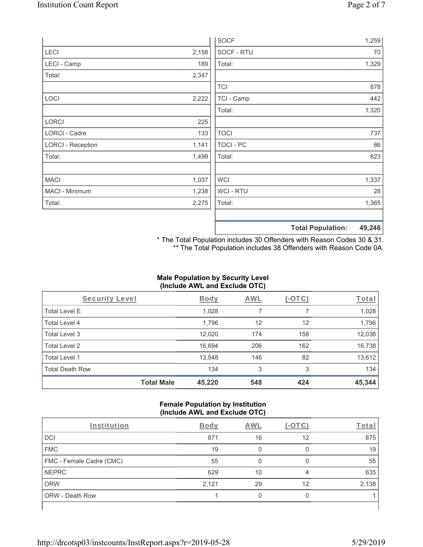|                          |       | <b>SOCF</b> | 1,259                              |
|--------------------------|-------|-------------|------------------------------------|
| LECI                     | 2,158 | SOCF - RTU  | 70                                 |
| LECI - Camp              | 189   | Total:      | 1,329                              |
| Total:                   | 2,347 |             |                                    |
|                          |       | <b>TCI</b>  | 878                                |
| LOCI                     | 2,222 | TCI - Camp  | 442                                |
|                          |       | Total:      | 1,320                              |
| <b>LORCI</b>             | 225   |             |                                    |
| LORCI - Cadre            | 133   | <b>TOCI</b> | 737                                |
| <b>LORCI - Reception</b> | 1,141 | TOCI - PC   | 86                                 |
| Total:                   | 1,499 | Total:      | 823                                |
| <b>MACI</b>              | 1,037 | <b>WCI</b>  | 1,337                              |
| MACI - Minimum           | 1,238 | WCI - RTU   | 28                                 |
| Total:                   | 2,275 | Total:      | 1,365                              |
|                          |       |             | 49,246<br><b>Total Population:</b> |

\* The Total Population includes 30 Offenders with Reason Codes 30 & 31. \*\* The Total Population includes 38 Offenders with Reason Code 0A.

# **Male Population by Security Level (Include AWL and Exclude OTC)**

| Security Level         |                   | <b>Body</b> | AWL | (-OTC) | Total  |
|------------------------|-------------------|-------------|-----|--------|--------|
| <b>Total Level E</b>   |                   | 1,028       | 7   |        | 1,028  |
| <b>Total Level 4</b>   |                   | 1,796       | 12  | 12     | 1,796  |
| Total Level 3          |                   | 12,020      | 174 | 158    | 12,036 |
| Total Level 2          |                   | 16,694      | 206 | 162    | 16,738 |
| Total Level 1          |                   | 13,548      | 146 | 82     | 13,612 |
| <b>Total Death Row</b> |                   | 134         | 3   | 3      | 134    |
|                        | <b>Total Male</b> | 45,220      | 548 | 424    | 45,344 |

### **Female Population by Institution (Include AWL and Exclude OTC)**

| Institution              | <b>Body</b> | AWL | $-1$ | Total |
|--------------------------|-------------|-----|------|-------|
| <b>DCI</b>               | 871         | 16  | 12   | 875   |
| <b>FMC</b>               | 19          |     |      | 19    |
| FMC - Female Cadre (CMC) | 55          |     |      | 55    |
| <b>NEPRC</b>             | 629         | 10  | 4    | 635   |
| <b>ORW</b>               | 2,121       | 29  | 12   | 2,138 |
| <b>ORW - Death Row</b>   |             |     |      |       |
|                          |             |     |      |       |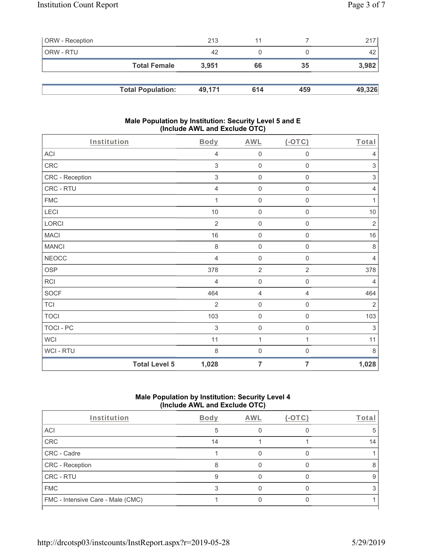| <b>ORW</b> - Reception |                          | 213    | 11  |     | 217    |
|------------------------|--------------------------|--------|-----|-----|--------|
| ORW - RTU              |                          | 42     |     |     | 42     |
|                        | <b>Total Female</b>      | 3.951  | 66  | 35  | 3,982  |
|                        |                          |        |     |     |        |
|                        | <b>Total Population:</b> | 49.171 | 614 | 459 | 49,326 |

#### **Male Population by Institution: Security Level 5 and E (Include AWL and Exclude OTC)**

| Institution     |                      | Body           | <b>AWL</b>          | $($ -OTC $)$        | Total                     |
|-----------------|----------------------|----------------|---------------------|---------------------|---------------------------|
| ACI             |                      | 4              | $\mathsf{O}\xspace$ | $\mathbf 0$         | $\overline{4}$            |
| CRC             |                      | 3              | $\mathbf 0$         | $\mathsf{O}\xspace$ | $\ensuremath{\mathsf{3}}$ |
| CRC - Reception |                      | $\mathfrak{S}$ | $\mathsf{O}\xspace$ | $\mathsf{O}\xspace$ | $\sqrt{3}$                |
| CRC - RTU       |                      | $\overline{4}$ | $\mathsf{O}\xspace$ | $\mathsf{O}\xspace$ | $\overline{4}$            |
| ${\sf FMC}$     |                      |                | $\mathbf 0$         | 0                   | 1                         |
| LECI            |                      | $10$           | $\mathsf{O}\xspace$ | $\mathbf 0$         | $10$                      |
| LORCI           |                      | $\overline{2}$ | $\mathbf 0$         | 0                   | $\sqrt{2}$                |
| <b>MACI</b>     |                      | 16             | $\mathbf 0$         | $\mathsf 0$         | 16                        |
| <b>MANCI</b>    |                      | $\,8\,$        | $\mathbf 0$         | $\mathsf 0$         | $\,8\,$                   |
| <b>NEOCC</b>    |                      | $\overline{4}$ | $\mathsf{O}\xspace$ | $\boldsymbol{0}$    | $\overline{4}$            |
| <b>OSP</b>      |                      | 378            | $\overline{2}$      | $\overline{2}$      | 378                       |
| RCI             |                      | $\overline{4}$ | $\mathbf 0$         | $\mathbf 0$         | $\overline{4}$            |
| <b>SOCF</b>     |                      | 464            | 4                   | 4                   | 464                       |
| <b>TCI</b>      |                      | $\overline{2}$ | $\mathsf{O}\xspace$ | $\mathsf{O}\xspace$ | $\overline{2}$            |
| <b>TOCI</b>     |                      | 103            | $\mathbf 0$         | $\mathbf 0$         | 103                       |
| TOCI - PC       |                      | 3              | $\mathbf 0$         | $\,0\,$             | $\ensuremath{\mathsf{3}}$ |
| <b>WCI</b>      |                      | 11             | $\mathbf{1}$        | $\mathbf{1}$        | 11                        |
| WCI - RTU       |                      | $\,8\,$        | $\mathsf{O}\xspace$ | $\boldsymbol{0}$    | 8                         |
|                 | <b>Total Level 5</b> | 1,028          | $\overline{7}$      | $\overline{7}$      | 1,028                     |

# **Male Population by Institution: Security Level 4 (Include AWL and Exclude OTC)**

| Institution                       | Body | AWL | $(-OTC)$ | Total |
|-----------------------------------|------|-----|----------|-------|
| <b>ACI</b>                        |      |     |          | :5    |
| CRC                               | 14   |     |          | 14    |
| CRC - Cadre                       |      |     |          |       |
| CRC - Reception                   |      |     |          | ਲ਼    |
| <b>CRC - RTU</b>                  |      |     |          | 9     |
| <b>FMC</b>                        |      |     |          |       |
| FMC - Intensive Care - Male (CMC) |      |     |          |       |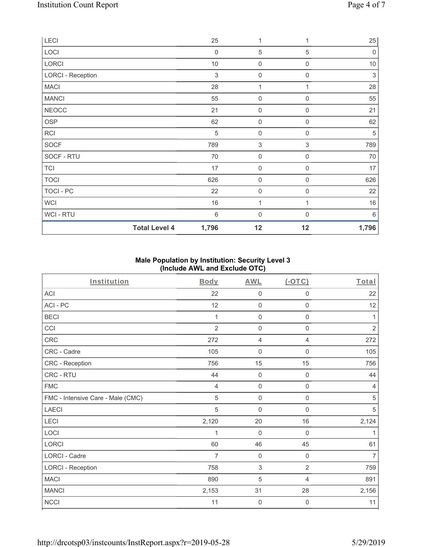| LECI                     | 25               | 1                         |                  | 25          |
|--------------------------|------------------|---------------------------|------------------|-------------|
| LOCI                     | $\boldsymbol{0}$ | $\sqrt{5}$                | 5                | $\mathbf 0$ |
| LORCI                    | $10$             | 0                         | $\mathbf 0$      | $10$        |
| <b>LORCI - Reception</b> | 3                | $\boldsymbol{0}$          | $\mathbf 0$      | $\sqrt{3}$  |
| <b>MACI</b>              | 28               | $\mathbf{1}$              | 1                | 28          |
| <b>MANCI</b>             | 55               | $\mathsf{O}\xspace$       | $\boldsymbol{0}$ | 55          |
| <b>NEOCC</b>             | 21               | $\mathsf{O}\xspace$       | 0                | 21          |
| OSP                      | 62               | $\mathsf{O}\xspace$       | $\mathbf 0$      | 62          |
| <b>RCI</b>               | $\sqrt{5}$       | $\boldsymbol{0}$          | $\boldsymbol{0}$ | 5           |
| <b>SOCF</b>              | 789              | $\ensuremath{\mathsf{3}}$ | $\sqrt{3}$       | 789         |
| SOCF - RTU               | 70               | $\mathsf{O}\xspace$       | $\mathbf 0$      | $70\,$      |
| <b>TCI</b>               | 17               | $\mathsf{O}\xspace$       | $\mathbf 0$      | 17          |
| <b>TOCI</b>              | 626              | $\mathbf 0$               | $\mathbf 0$      | 626         |
| TOCI - PC                | 22               | $\mathbf 0$               | $\mathbf 0$      | 22          |
| <b>WCI</b>               | 16               | 1                         | 1                | 16          |
| <b>WCI-RTU</b>           | 6                | $\boldsymbol{0}$          | $\Omega$         | 6           |
| <b>Total Level 4</b>     | 1,796            | 12                        | 12               | 1,796       |

# **Male Population by Institution: Security Level 3 (Include AWL and Exclude OTC)**

| Institution                       | Body           | <b>AWL</b>          | (OTC)               | Total          |
|-----------------------------------|----------------|---------------------|---------------------|----------------|
| ACI                               | 22             | $\mathbf 0$         | 0                   | 22             |
| ACI-PC                            | 12             | $\mathbf 0$         | $\mathsf{O}\xspace$ | 12             |
| <b>BECI</b>                       | 1              | $\mathsf{O}\xspace$ | $\mathsf{O}\xspace$ | 1              |
| CCI                               | $\overline{2}$ | $\mathbf 0$         | 0                   | $\sqrt{2}$     |
| CRC                               | 272            | 4                   | 4                   | 272            |
| CRC - Cadre                       | 105            | $\mathbf 0$         | $\mathbf 0$         | 105            |
| CRC - Reception                   | 756            | 15                  | 15                  | 756            |
| CRC - RTU                         | 44             | $\mathbf 0$         | $\mathbf 0$         | 44             |
| <b>FMC</b>                        | $\overline{4}$ | $\mathsf{O}\xspace$ | $\mathbf 0$         | $\overline{4}$ |
| FMC - Intensive Care - Male (CMC) | 5              | $\mathsf 0$         | $\mathsf{O}\xspace$ | $\sqrt{5}$     |
| LAECI                             | 5              | $\mathbf 0$         | 0                   | $\sqrt{5}$     |
| LECI                              | 2,120          | 20                  | 16                  | 2,124          |
| LOCI                              | $\mathbf{1}$   | $\mathbf 0$         | $\mathbf 0$         | 1              |
| <b>LORCI</b>                      | 60             | 46                  | 45                  | 61             |
| LORCI - Cadre                     | $\overline{7}$ | $\mathbf 0$         | $\mathbf 0$         | $\overline{7}$ |
| <b>LORCI - Reception</b>          | 758            | $\mathfrak{Z}$      | $\overline{2}$      | 759            |
| <b>MACI</b>                       | 890            | $\sqrt{5}$          | $\overline{4}$      | 891            |
| <b>MANCI</b>                      | 2,153          | 31                  | 28                  | 2,156          |
| <b>NCCI</b>                       | 11             | $\mathsf{O}\xspace$ | $\mathbf 0$         | 11             |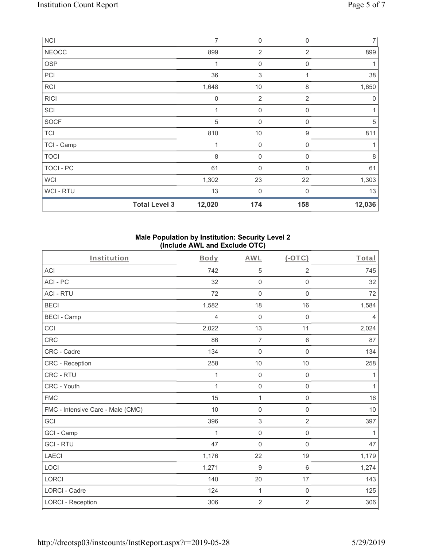| <b>NCI</b>     |                      | 7           | $\mathbf 0$               | $\mathbf 0$      | $\overline{7}$ |
|----------------|----------------------|-------------|---------------------------|------------------|----------------|
| <b>NEOCC</b>   |                      | 899         | $\overline{2}$            | $\overline{2}$   | 899            |
| <b>OSP</b>     |                      | 1           | $\boldsymbol{0}$          | $\mathbf 0$      |                |
| PCI            |                      | 36          | $\ensuremath{\mathsf{3}}$ | 1                | 38             |
| <b>RCI</b>     |                      | 1,648       | 10                        | 8                | 1,650          |
| <b>RICI</b>    |                      | $\mathbf 0$ | $\overline{2}$            | $\overline{2}$   | 0              |
| SCI            |                      | 1           | $\mathsf{O}\xspace$       | $\boldsymbol{0}$ |                |
| SOCF           |                      | $\sqrt{5}$  | $\boldsymbol{0}$          | $\mathbf 0$      | $\sqrt{5}$     |
| <b>TCI</b>     |                      | 810         | $10$                      | $\boldsymbol{9}$ | 811            |
| TCI - Camp     |                      | 1           | $\mathsf{O}\xspace$       | $\mathbf 0$      |                |
| <b>TOCI</b>    |                      | 8           | $\mathsf{O}\xspace$       | $\mathbf 0$      | $\,8\,$        |
| TOCI - PC      |                      | 61          | $\boldsymbol{0}$          | 0                | 61             |
| <b>WCI</b>     |                      | 1,302       | 23                        | 22               | 1,303          |
| <b>WCI-RTU</b> |                      | 13          | 0                         | $\Omega$         | 13             |
|                | <b>Total Level 3</b> | 12,020      | 174                       | 158              | 12,036         |

#### **Male Population by Institution: Security Level 2 (Include AWL and Exclude OTC)**

| Institution                       | <b>Body</b>  | <b>AWL</b>       | $($ -OTC $)$        | Total          |
|-----------------------------------|--------------|------------------|---------------------|----------------|
| <b>ACI</b>                        | 742          | 5                | $\overline{2}$      | 745            |
| ACI-PC                            | 32           | $\mathbf 0$      | 0                   | 32             |
| <b>ACI - RTU</b>                  | 72           | $\mathbf 0$      | $\mathbf 0$         | 72             |
| <b>BECI</b>                       | 1,582        | 18               | 16                  | 1,584          |
| <b>BECI - Camp</b>                | 4            | $\boldsymbol{0}$ | 0                   | $\overline{4}$ |
| CCI                               | 2,022        | 13               | 11                  | 2,024          |
| <b>CRC</b>                        | 86           | $\overline{7}$   | $\,6\,$             | 87             |
| CRC - Cadre                       | 134          | $\mathbf 0$      | $\mathsf{O}\xspace$ | 134            |
| CRC - Reception                   | 258          | 10               | 10                  | 258            |
| CRC - RTU                         | 1            | $\mathbf 0$      | $\mathbf 0$         | 1              |
| CRC - Youth                       | $\mathbf{1}$ | $\mathbf 0$      | $\mathsf 0$         | $\mathbf{1}$   |
| <b>FMC</b>                        | 15           | $\mathbf{1}$     | $\mathbf 0$         | 16             |
| FMC - Intensive Care - Male (CMC) | 10           | $\mathbf 0$      | $\mathsf 0$         | 10             |
| GCI                               | 396          | $\mathfrak{S}$   | $\overline{2}$      | 397            |
| GCI - Camp                        | 1            | $\mathbf 0$      | $\mathsf{O}\xspace$ | 1              |
| <b>GCI-RTU</b>                    | 47           | $\mathbf 0$      | $\mathsf 0$         | 47             |
| <b>LAECI</b>                      | 1,176        | 22               | 19                  | 1,179          |
| LOCI                              | 1,271        | 9                | $\,6$               | 1,274          |
| <b>LORCI</b>                      | 140          | 20               | 17                  | 143            |
| <b>LORCI - Cadre</b>              | 124          | $\mathbf{1}$     | $\mathsf{O}\xspace$ | 125            |
| <b>LORCI - Reception</b>          | 306          | $\overline{2}$   | $\overline{2}$      | 306            |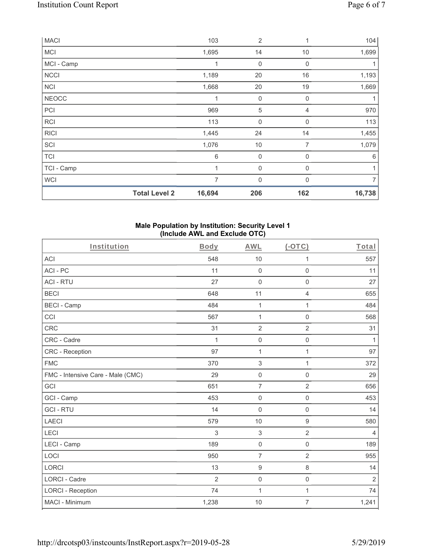| <b>MACI</b>  |                      | 103          | $\overline{2}$ | 1              | 104    |
|--------------|----------------------|--------------|----------------|----------------|--------|
| MCI          |                      | 1,695        | 14             | 10             | 1,699  |
| MCI - Camp   |                      | 1            | 0              | $\mathbf 0$    |        |
| <b>NCCI</b>  |                      | 1,189        | 20             | 16             | 1,193  |
| <b>NCI</b>   |                      | 1,668        | 20             | 19             | 1,669  |
| <b>NEOCC</b> |                      | $\mathbf{1}$ | 0              | $\mathbf 0$    |        |
| PCI          |                      | 969          | 5              | 4              | 970    |
| <b>RCI</b>   |                      | 113          | $\mathbf 0$    | $\Omega$       | 113    |
| <b>RICI</b>  |                      | 1,445        | 24             | 14             | 1,455  |
| SCI          |                      | 1,076        | 10             | $\overline{7}$ | 1,079  |
| <b>TCI</b>   |                      | 6            | $\mathbf 0$    | $\mathbf 0$    | 6      |
| TCI - Camp   |                      | 1            | $\mathbf 0$    | 0              |        |
| <b>WCI</b>   |                      | 7            | $\mathbf 0$    | $\Omega$       | 7      |
|              | <b>Total Level 2</b> | 16,694       | 206            | 162            | 16,738 |

### **Male Population by Institution: Security Level 1 (Include AWL and Exclude OTC)**

| Institution                       | Body           | <b>AWL</b>          | $($ -OTC $)$        | Total          |
|-----------------------------------|----------------|---------------------|---------------------|----------------|
| <b>ACI</b>                        | 548            | 10                  | 1                   | 557            |
| ACI-PC                            | 11             | $\mathbf 0$         | 0                   | 11             |
| <b>ACI - RTU</b>                  | 27             | $\mathsf 0$         | $\mathsf{O}\xspace$ | 27             |
| <b>BECI</b>                       | 648            | 11                  | $\overline{4}$      | 655            |
| <b>BECI - Camp</b>                | 484            | 1                   | 1                   | 484            |
| CCI                               | 567            | $\mathbf{1}$        | $\mathsf 0$         | 568            |
| <b>CRC</b>                        | 31             | $\overline{2}$      | $\overline{2}$      | 31             |
| CRC - Cadre                       | $\mathbf{1}$   | $\mathbf 0$         | $\mathsf{O}\xspace$ | $\mathbf{1}$   |
| CRC - Reception                   | 97             | 1                   | 1                   | 97             |
| <b>FMC</b>                        | 370            | $\mathfrak{S}$      | 1                   | 372            |
| FMC - Intensive Care - Male (CMC) | 29             | $\mathsf 0$         | $\mathsf{O}\xspace$ | 29             |
| GCI                               | 651            | $\overline{7}$      | $\overline{2}$      | 656            |
| GCI - Camp                        | 453            | $\mathsf 0$         | $\mathsf{O}\xspace$ | 453            |
| <b>GCI-RTU</b>                    | 14             | $\mathsf{O}\xspace$ | 0                   | 14             |
| <b>LAECI</b>                      | 579            | 10                  | 9                   | 580            |
| LECI                              | 3              | $\sqrt{3}$          | $\overline{2}$      | $\overline{4}$ |
| LECI - Camp                       | 189            | $\mathsf{O}\xspace$ | $\mathsf 0$         | 189            |
| LOCI                              | 950            | $\overline{7}$      | $\overline{2}$      | 955            |
| <b>LORCI</b>                      | 13             | $\boldsymbol{9}$    | 8                   | 14             |
| LORCI - Cadre                     | $\overline{2}$ | $\mathbf 0$         | $\mathsf 0$         | $\sqrt{2}$     |
| <b>LORCI - Reception</b>          | 74             | 1                   | $\mathbf{1}$        | 74             |
| MACI - Minimum                    | 1,238          | $10$                | $\overline{7}$      | 1,241          |